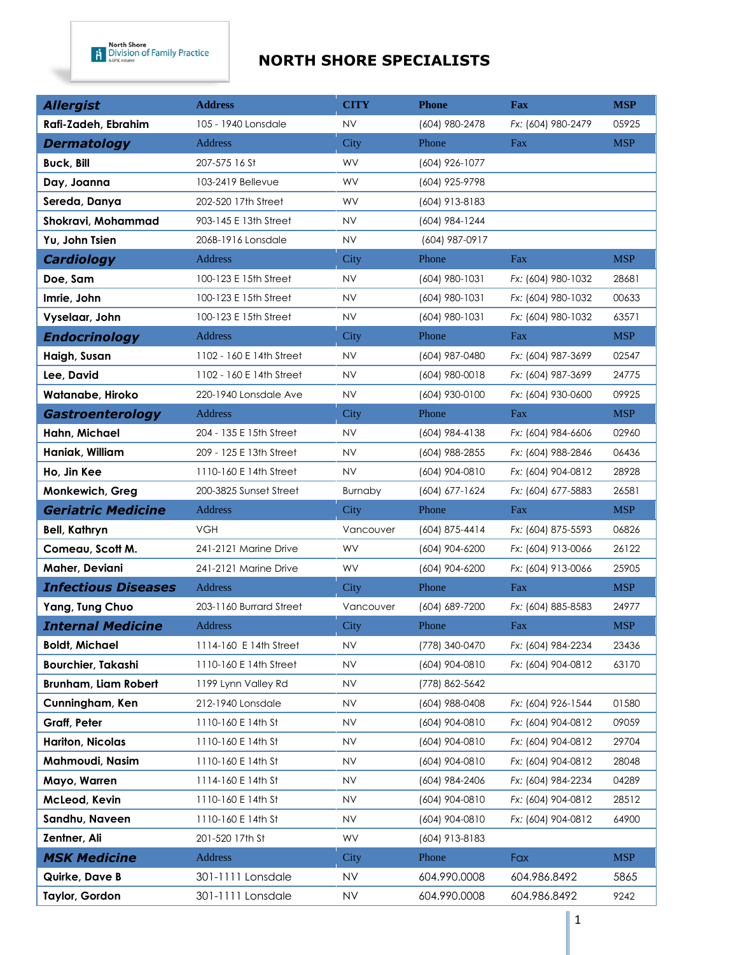| <b>Allergist</b>           | <b>Address</b>           | <b>CITY</b> | <b>Phone</b>   | <b>Fax</b>         | <b>MSP</b> |
|----------------------------|--------------------------|-------------|----------------|--------------------|------------|
| Rafi-Zadeh, Ebrahim        | 105 - 1940 Lonsdale      | <b>NV</b>   | (604) 980-2478 | Fx: (604) 980-2479 | 05925      |
| <b>Dermatology</b>         | Address                  | City        | Phone          | Fax                | <b>MSP</b> |
| <b>Buck, Bill</b>          | 207-575 16 St            | WV          | (604) 926-1077 |                    |            |
| Day, Joanna                | 103-2419 Bellevue        | <b>WV</b>   | (604) 925-9798 |                    |            |
| Sereda, Danya              | 202-520 17th Street      | WV          | (604) 913-8183 |                    |            |
| Shokravi, Mohammad         | 903-145 E 13th Street    | <b>NV</b>   | (604) 984-1244 |                    |            |
| Yu, John Tsien             | 206B-1916 Lonsdale       | <b>NV</b>   | (604) 987-0917 |                    |            |
| <b>Cardiology</b>          | Address                  | City        | Phone          | Fax                | <b>MSP</b> |
| Doe, Sam                   | 100-123 E 15th Street    | <b>NV</b>   | (604) 980-1031 | Fx: (604) 980-1032 | 28681      |
| Imrie, John                | 100-123 E 15th Street    | <b>NV</b>   | (604) 980-1031 | Fx: (604) 980-1032 | 00633      |
| Vyselaar, John             | 100-123 E 15th Street    | <b>NV</b>   | (604) 980-1031 | Fx: (604) 980-1032 | 63571      |
| <b>Endocrinology</b>       | <b>Address</b>           | City        | Phone          | Fax                | <b>MSP</b> |
| Haigh, Susan               | 1102 - 160 E 14th Street | NV          | (604) 987-0480 | Fx: (604) 987-3699 | 02547      |
| Lee, David                 | 1102 - 160 E 14th Street | <b>NV</b>   | (604) 980-0018 | Fx: (604) 987-3699 | 24775      |
| Watanabe, Hiroko           | 220-1940 Lonsdale Ave    | <b>NV</b>   | (604) 930-0100 | Fx: (604) 930-0600 | 09925      |
| Gastroenterology           | <b>Address</b>           | City        | Phone          | Fax                | <b>MSP</b> |
| Hahn, Michael              | 204 - 135 E 15th Street  | <b>NV</b>   | (604) 984-4138 | Fx: (604) 984-6606 | 02960      |
| Haniak, William            | 209 - 125 E 13th Street  | <b>NV</b>   | (604) 988-2855 | Fx: (604) 988-2846 | 06436      |
| Ho, Jin Kee                | 1110-160 E 14th Street   | <b>NV</b>   | (604) 904-0810 | Fx: (604) 904-0812 | 28928      |
| Monkewich, Greg            | 200-3825 Sunset Street   | Burnaby     | (604) 677-1624 | Fx: (604) 677-5883 | 26581      |
| <b>Geriatric Medicine</b>  | <b>Address</b>           | City        | Phone          | Fax                | <b>MSP</b> |
| <b>Bell, Kathryn</b>       | <b>VGH</b>               | Vancouver   | (604) 875-4414 | Fx: (604) 875-5593 | 06826      |
| Comeau, Scott M.           | 241-2121 Marine Drive    | WV          | (604) 904-6200 | Fx: (604) 913-0066 | 26122      |
| Maher, Deviani             | 241-2121 Marine Drive    | WV          | (604) 904-6200 | Fx: (604) 913-0066 | 25905      |
| <b>Infectious Diseases</b> | Address                  | City        | Phone          | Fax                | <b>MSP</b> |
| Yang, Tung Chuo            | 203-1160 Burrard Street  | Vancouver   | (604) 689-7200 | Fx: (604) 885-8583 | 24977      |
| <b>Internal Medicine</b>   | <b>Address</b>           | City        | Phone          | Fax                | <b>MSP</b> |
| <b>Boldt, Michael</b>      | 1114-160 E 14th Street   | NV          | (778) 340-0470 | Fx: (604) 984-2234 | 23436      |
| Bourchier, Takashi         | 1110-160 E 14th Street   | <b>NV</b>   | (604) 904-0810 | Fx: (604) 904-0812 | 63170      |
| Brunham, Liam Robert       | 1199 Lynn Valley Rd      | NV          | (778) 862-5642 |                    |            |
| Cunningham, Ken            | 212-1940 Lonsdale        | NV          | (604) 988-0408 | Fx: (604) 926-1544 | 01580      |
| Graff, Peter               | 1110-160 E 14th St       | <b>NV</b>   | (604) 904-0810 | Fx: (604) 904-0812 | 09059      |
| Hariton, Nicolas           | 1110-160 E 14th St       | <b>NV</b>   | (604) 904-0810 | Fx: (604) 904-0812 | 29704      |
| Mahmoudi, Nasim            | 1110-160 E 14th St       | NV          | (604) 904-0810 | Fx: (604) 904-0812 | 28048      |
| Mayo, Warren               | 1114-160 E 14th St       | <b>NV</b>   | (604) 984-2406 | Fx: (604) 984-2234 | 04289      |
| McLeod, Kevin              | 1110-160 E 14th St       | <b>NV</b>   | (604) 904-0810 | Fx: (604) 904-0812 | 28512      |
| Sandhu, Naveen             | 1110-160 E 14th St       | NV.         | (604) 904-0810 | Fx: (604) 904-0812 | 64900      |
| Zentner, Ali               | 201-520 17th St          | WV          | (604) 913-8183 |                    |            |
| <b>MSK Medicine</b>        | <b>Address</b>           | City        | Phone          | Fax                | <b>MSP</b> |
| Quirke, Dave B             | 301-1111 Lonsdale        | <b>NV</b>   | 604.990.0008   | 604.986.8492       | 5865       |
| Taylor, Gordon             | 301-1111 Lonsdale        | <b>NV</b>   | 604.990.0008   | 604.986.8492       | 9242       |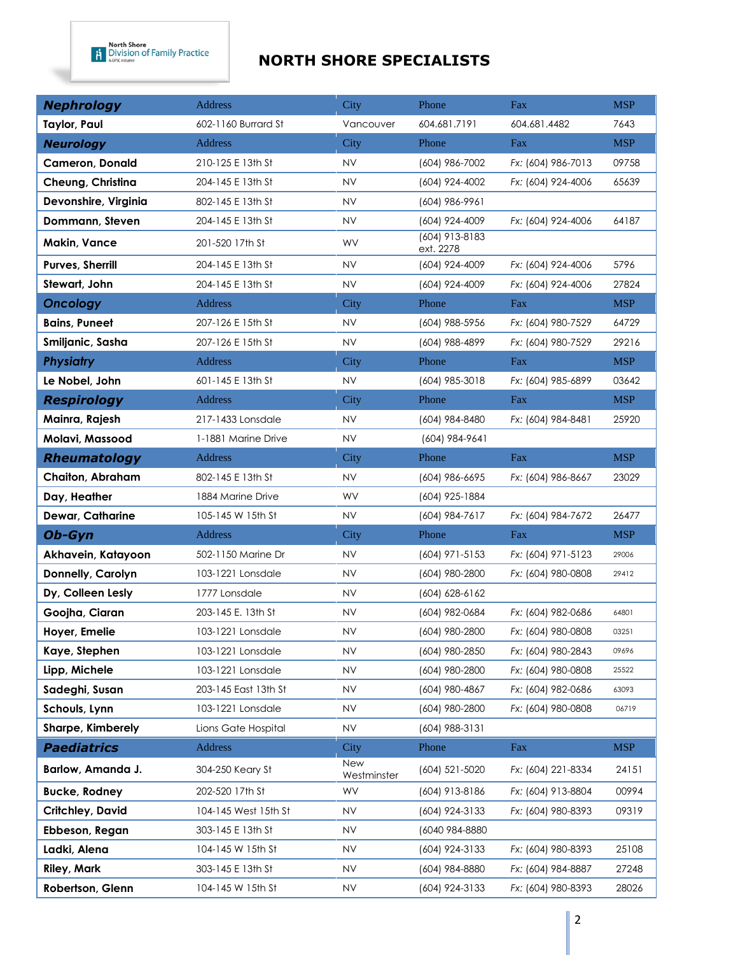| <b>Nephrology</b>       | <b>Address</b>       | City               | Phone                       | Fax                | <b>MSP</b> |
|-------------------------|----------------------|--------------------|-----------------------------|--------------------|------------|
| Taylor, Paul            | 602-1160 Burrard St  | Vancouver          | 604.681.7191                | 604.681.4482       | 7643       |
| <b>Neurology</b>        | Address              | City               | Phone                       | Fax                | <b>MSP</b> |
| Cameron, Donald         | 210-125 E 13th St    | <b>NV</b>          | (604) 986-7002              | Fx: (604) 986-7013 | 09758      |
| Cheung, Christina       | 204-145 E 13th St    | <b>NV</b>          | (604) 924-4002              | Fx: (604) 924-4006 | 65639      |
| Devonshire, Virginia    | 802-145 E 13th St    | <b>NV</b>          | (604) 986-9961              |                    |            |
| Dommann, Steven         | 204-145 E 13th St    | <b>NV</b>          | (604) 924-4009              | Fx: (604) 924-4006 | 64187      |
| Makin, Vance            | 201-520 17th St      | WV                 | (604) 913-8183<br>ext. 2278 |                    |            |
| <b>Purves, Sherrill</b> | 204-145 E 13th St    | <b>NV</b>          | (604) 924-4009              | Fx: (604) 924-4006 | 5796       |
| Stewart, John           | 204-145 E 13th St    | <b>NV</b>          | (604) 924-4009              | Fx: (604) 924-4006 | 27824      |
| <b>Oncology</b>         | <b>Address</b>       | City               | Phone                       | Fax                | <b>MSP</b> |
| <b>Bains, Puneet</b>    | 207-126 E 15th St    | NV                 | (604) 988-5956              | Fx: (604) 980-7529 | 64729      |
| Smiljanic, Sasha        | 207-126 E 15th St    | <b>NV</b>          | (604) 988-4899              | Fx: (604) 980-7529 | 29216      |
| <b>Physiatry</b>        | Address              | City               | Phone                       | Fax                | <b>MSP</b> |
| Le Nobel, John          | 601-145 E 13th St    | <b>NV</b>          | (604) 985-3018              | Fx: (604) 985-6899 | 03642      |
| <b>Respirology</b>      | <b>Address</b>       | City               | Phone                       | Fax                | <b>MSP</b> |
| Mainra, Rajesh          | 217-1433 Lonsdale    | NV                 | (604) 984-8480              | Fx: (604) 984-8481 | 25920      |
| Molavi, Massood         | 1-1881 Marine Drive  | <b>NV</b>          | (604) 984-9641              |                    |            |
| <b>Rheumatology</b>     | Address              | City               | Phone                       | Fax                | <b>MSP</b> |
| <b>Chaiton, Abraham</b> | 802-145 E 13th St    | NV                 | (604) 986-6695              | Fx: (604) 986-8667 | 23029      |
| Day, Heather            | 1884 Marine Drive    | WV                 | (604) 925-1884              |                    |            |
| <b>Dewar, Catharine</b> | 105-145 W 15th St    | <b>NV</b>          | (604) 984-7617              | Fx: (604) 984-7672 | 26477      |
| Ob-Gyn                  | Address              | City               | Phone                       | Fax                | <b>MSP</b> |
| Akhavein, Katayoon      | 502-1150 Marine Dr   | NV                 | $(604)$ 971-5153            | Fx: (604) 971-5123 | 29006      |
| Donnelly, Carolyn       | 103-1221 Lonsdale    | <b>NV</b>          | (604) 980-2800              | Fx: (604) 980-0808 | 29412      |
| Dy, Colleen Lesly       | 1777 Lonsdale        | <b>NV</b>          | $(604) 628 - 6162$          |                    |            |
| Goojha, Ciaran          | 203-145 E. 13th St   | <b>NV</b>          | (604) 982-0684              | Fx: (604) 982-0686 | 64801      |
| Hoyer, Emelie           | 103-1221 Lonsdale    | NV.                | (604) 980-2800              | Fx: (604) 980-0808 | 03251      |
| Kaye, Stephen           | 103-1221 Lonsdale    | NV                 | (604) 980-2850              | Fx: (604) 980-2843 | 09696      |
| Lipp, Michele           | 103-1221 Lonsdale    | NV                 | (604) 980-2800              | Fx: (604) 980-0808 | 25522      |
| Sadeghi, Susan          | 203-145 East 13th St | NV.                | (604) 980-4867              | Fx: (604) 982-0686 | 63093      |
| Schouls, Lynn           | 103-1221 Lonsdale    | NV                 | (604) 980-2800              | Fx: (604) 980-0808 | 06719      |
| Sharpe, Kimberely       | Lions Gate Hospital  | NV                 | (604) 988-3131              |                    |            |
| <b>Paediatrics</b>      | Address              | City               | Phone                       | Fax                | <b>MSP</b> |
| Barlow, Amanda J.       | 304-250 Keary St     | New<br>Westminster | (604) 521-5020              | Fx: (604) 221-8334 | 24151      |
| <b>Bucke, Rodney</b>    | 202-520 17th St      | WV                 | (604) 913-8186              | Fx: (604) 913-8804 | 00994      |
| Critchley, David        | 104-145 West 15th St | NV.                | (604) 924-3133              | Fx: (604) 980-8393 | 09319      |
| Ebbeson, Regan          | 303-145 E 13th St    | <b>NV</b>          | (6040 984-8880              |                    |            |
| Ladki, Alena            | 104-145 W 15th St    | NV.                | (604) 924-3133              | Fx: (604) 980-8393 | 25108      |
| <b>Riley, Mark</b>      | 303-145 E 13th St    | NV.                | (604) 984-8880              | Fx: (604) 984-8887 | 27248      |
| Robertson, Glenn        | 104-145 W 15th St    | <b>NV</b>          | (604) 924-3133              | Fx: (604) 980-8393 | 28026      |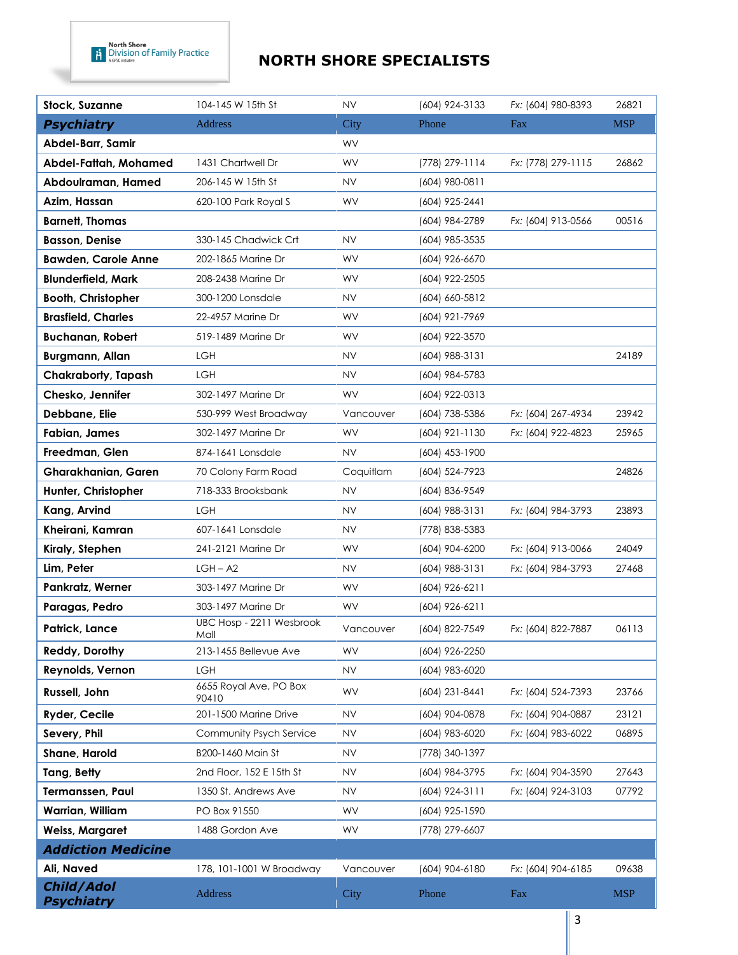| <b>Stock, Suzanne</b>           | 104-145 W 15th St                | <b>NV</b> | (604) 924-3133   | Fx: (604) 980-8393 | 26821      |
|---------------------------------|----------------------------------|-----------|------------------|--------------------|------------|
| <b>Psychiatry</b>               | Address                          | City      | Phone            | Fax                | <b>MSP</b> |
| Abdel-Barr, Samir               |                                  | WV        |                  |                    |            |
| Abdel-Fattah, Mohamed           | 1431 Chartwell Dr                | WV        | (778) 279-1114   | Fx: (778) 279-1115 | 26862      |
| Abdoulraman, Hamed              | 206-145 W 15th St                | <b>NV</b> | (604) 980-0811   |                    |            |
| Azim, Hassan                    | 620-100 Park Royal S             | WV        | (604) 925-2441   |                    |            |
| <b>Barnett, Thomas</b>          |                                  |           | (604) 984-2789   | Fx: (604) 913-0566 | 00516      |
| <b>Basson, Denise</b>           | 330-145 Chadwick Crt             | <b>NV</b> | (604) 985-3535   |                    |            |
| <b>Bawden, Carole Anne</b>      | 202-1865 Marine Dr               | WV        | (604) 926-6670   |                    |            |
| <b>Blunderfield, Mark</b>       | 208-2438 Marine Dr               | WV        | (604) 922-2505   |                    |            |
| <b>Booth, Christopher</b>       | 300-1200 Lonsdale                | NV        | (604) 660-5812   |                    |            |
| <b>Brasfield, Charles</b>       | 22-4957 Marine Dr                | WV        | (604) 921-7969   |                    |            |
| <b>Buchanan, Robert</b>         | 519-1489 Marine Dr               | WV        | (604) 922-3570   |                    |            |
| <b>Burgmann, Allan</b>          | <b>LGH</b>                       | <b>NV</b> | (604) 988-3131   |                    | 24189      |
| Chakraborty, Tapash             | <b>LGH</b>                       | <b>NV</b> | (604) 984-5783   |                    |            |
| Chesko, Jennifer                | 302-1497 Marine Dr               | <b>WV</b> | (604) 922-0313   |                    |            |
| Debbane, Elie                   | 530-999 West Broadway            | Vancouver | (604) 738-5386   | Fx: (604) 267-4934 | 23942      |
| Fabian, James                   | 302-1497 Marine Dr               | WV        | $(604)$ 921-1130 | Fx: (604) 922-4823 | 25965      |
| Freedman, Glen                  | 874-1641 Lonsdale                | <b>NV</b> | $(604)$ 453-1900 |                    |            |
| <b>Gharakhanian, Garen</b>      | 70 Colony Farm Road              | Coquitlam | (604) 524-7923   |                    | 24826      |
| Hunter, Christopher             | 718-333 Brooksbank               | <b>NV</b> | (604) 836-9549   |                    |            |
| Kang, Arvind                    | LGH                              | <b>NV</b> | (604) 988-3131   | Fx: (604) 984-3793 | 23893      |
| Kheirani, Kamran                | 607-1641 Lonsdale                | NV        | (778) 838-5383   |                    |            |
| Kiraly, Stephen                 | 241-2121 Marine Dr               | WV        | (604) 904-6200   | Fx: (604) 913-0066 | 24049      |
| Lim, Peter                      | $LGH - A2$                       | <b>NV</b> | (604) 988-3131   | Fx: (604) 984-3793 | 27468      |
| Pankratz, Werner                | 303-1497 Marine Dr               | WV.       | (604) 926-6211   |                    |            |
| Paragas, Pedro                  | 303-1497 Marine Dr               | WV        | (604) 926-6211   |                    |            |
| Patrick, Lance                  | UBC Hosp - 2211 Wesbrook<br>Mall | Vancouver | (604) 822-7549   | Fx: (604) 822-7887 | 06113      |
| Reddy, Dorothy                  | 213-1455 Bellevue Ave            | WV        | (604) 926-2250   |                    |            |
| Reynolds, Vernon                | LGH                              | <b>NV</b> | (604) 983-6020   |                    |            |
| Russell, John                   | 6655 Royal Ave, PO Box<br>90410  | WV        | (604) 231-8441   | Fx: (604) 524-7393 | 23766      |
| Ryder, Cecile                   | 201-1500 Marine Drive            | <b>NV</b> | (604) 904-0878   | Fx: (604) 904-0887 | 23121      |
| Severy, Phil                    | <b>Community Psych Service</b>   | NV.       | (604) 983-6020   | Fx: (604) 983-6022 | 06895      |
| Shane, Harold                   | B200-1460 Main St                | NV        | (778) 340-1397   |                    |            |
| Tang, Betty                     | 2nd Floor, 152 E 15th St         | <b>NV</b> | (604) 984-3795   | Fx: (604) 904-3590 | 27643      |
| Termanssen, Paul                | 1350 St. Andrews Ave             | NV.       | $(604)$ 924-3111 | Fx: (604) 924-3103 | 07792      |
| Warrian, William                | PO Box 91550                     | WV        | (604) 925-1590   |                    |            |
| <b>Weiss, Margaret</b>          | 1488 Gordon Ave                  | <b>WV</b> | (778) 279-6607   |                    |            |
| <b>Addiction Medicine</b>       |                                  |           |                  |                    |            |
| Ali, Naved                      | 178, 101-1001 W Broadway         | Vancouver | (604) 904-6180   | Fx: (604) 904-6185 | 09638      |
| Child/Adol<br><b>Psychiatry</b> | Address                          | City      | Phone            | Fax                | <b>MSP</b> |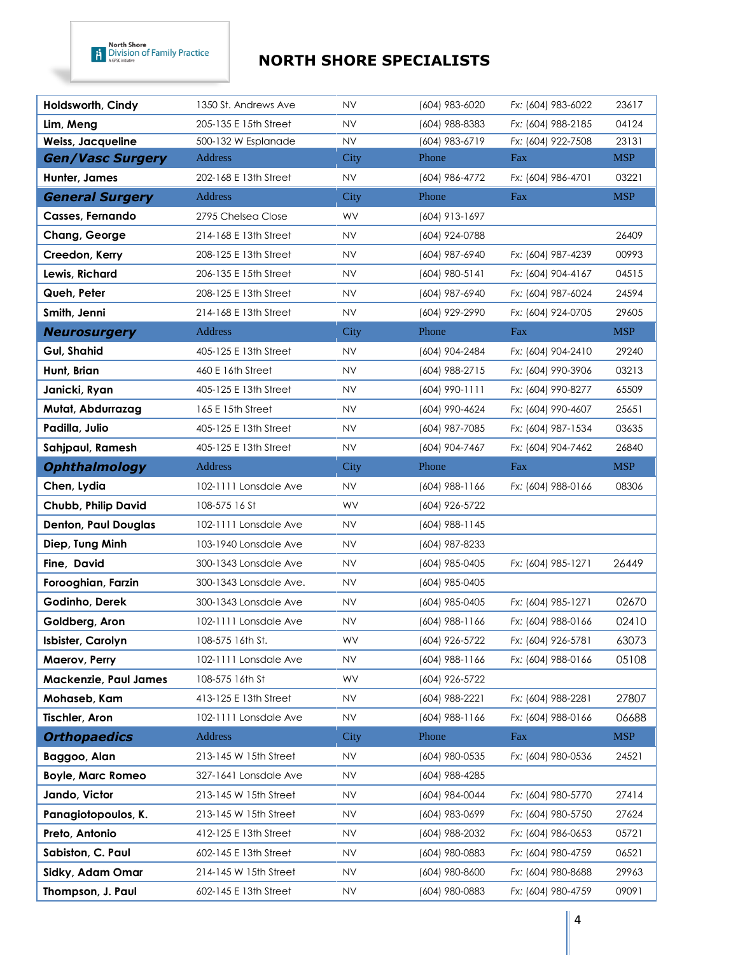| Holdsworth, Cindy            | 1350 St. Andrews Ave   | <b>NV</b> | (604) 983-6020   | Fx: (604) 983-6022 | 23617      |
|------------------------------|------------------------|-----------|------------------|--------------------|------------|
| Lim, Meng                    | 205-135 E 15th Street  | <b>NV</b> | (604) 988-8383   | Fx: (604) 988-2185 | 04124      |
| <b>Weiss, Jacqueline</b>     | 500-132 W Esplanade    | <b>NV</b> | (604) 983-6719   | Fx: (604) 922-7508 | 23131      |
| <b>Gen/Vasc Surgery</b>      | Address                | City      | Phone            | Fax                | <b>MSP</b> |
| Hunter, James                | 202-168 E 13th Street  | <b>NV</b> | (604) 986-4772   | Fx: (604) 986-4701 | 03221      |
| <b>General Surgery</b>       | Address                | City      | Phone            | Fax                | <b>MSP</b> |
| Casses, Fernando             | 2795 Chelsea Close     | WV        | (604) 913-1697   |                    |            |
| Chang, George                | 214-168 E 13th Street  | <b>NV</b> | (604) 924-0788   |                    | 26409      |
| Creedon, Kerry               | 208-125 E 13th Street  | <b>NV</b> | (604) 987-6940   | Fx: (604) 987-4239 | 00993      |
| Lewis, Richard               | 206-135 E 15th Street  | <b>NV</b> | (604) 980-5141   | Fx: (604) 904-4167 | 04515      |
| Queh, Peter                  | 208-125 E 13th Street  | <b>NV</b> | (604) 987-6940   | Fx: (604) 987-6024 | 24594      |
| Smith, Jenni                 | 214-168 E 13th Street  | <b>NV</b> | (604) 929-2990   | Fx: (604) 924-0705 | 29605      |
| <b>Neurosurgery</b>          | <b>Address</b>         | City      | Phone            | Fax                | <b>MSP</b> |
| <b>Gul, Shahid</b>           | 405-125 E 13th Street  | <b>NV</b> | (604) 904-2484   | Fx: (604) 904-2410 | 29240      |
| Hunt, Brian                  | 460 E 16th Street      | <b>NV</b> | (604) 988-2715   | Fx: (604) 990-3906 | 03213      |
| Janicki, Ryan                | 405-125 E 13th Street  | <b>NV</b> | $(604)$ 990-1111 | Fx: (604) 990-8277 | 65509      |
| Mutat, Abdurrazag            | 165 E 15th Street      | <b>NV</b> | (604) 990-4624   | Fx: (604) 990-4607 | 25651      |
| Padilla, Julio               | 405-125 E 13th Street  | <b>NV</b> | (604) 987-7085   | Fx: (604) 987-1534 | 03635      |
| Sahjpaul, Ramesh             | 405-125 E 13th Street  | <b>NV</b> | (604) 904-7467   | Fx: (604) 904-7462 | 26840      |
| <b>Ophthalmology</b>         | Address                | City      | Phone            | Fax                | <b>MSP</b> |
| Chen, Lydia                  | 102-1111 Lonsdale Ave  | <b>NV</b> | $(604)$ 988-1166 | Fx: (604) 988-0166 | 08306      |
| Chubb, Philip David          | 108-575 16 St          | WV        | (604) 926-5722   |                    |            |
| <b>Denton, Paul Douglas</b>  | 102-1111 Lonsdale Ave  | <b>NV</b> | (604) 988-1145   |                    |            |
| Diep, Tung Minh              | 103-1940 Lonsdale Ave  | <b>NV</b> | (604) 987-8233   |                    |            |
| Fine, David                  | 300-1343 Lonsdale Ave  | <b>NV</b> | (604) 985-0405   | Fx: (604) 985-1271 | 26449      |
| Forooghian, Farzin           | 300-1343 Lonsdale Ave. | <b>NV</b> | (604) 985-0405   |                    |            |
| Godinho, Derek               | 300-1343 Lonsdale Ave  | <b>NV</b> | (604) 985-0405   | Fx: (604) 985-1271 | 02670      |
| Goldberg, Aron               | 102-1111 Lonsdale Ave  | <b>NV</b> | (604) 988-1166   | Fx: (604) 988-0166 | 02410      |
| Isbister, Carolyn            | 108-575 16th St.       | WV        | (604) 926-5722   | Fx: (604) 926-5781 | 63073      |
| Maerov, Perry                | 102-1111 Lonsdale Ave  | <b>NV</b> | (604) 988-1166   | Fx: (604) 988-0166 | 05108      |
| <b>Mackenzie, Paul James</b> | 108-575 16th St        | WV        | (604) 926-5722   |                    |            |
| Mohaseb, Kam                 | 413-125 E 13th Street  | <b>NV</b> | (604) 988-2221   | Fx: (604) 988-2281 | 27807      |
| <b>Tischler, Aron</b>        | 102-1111 Lonsdale Ave  | <b>NV</b> | (604) 988-1166   | Fx: (604) 988-0166 | 06688      |
| <b>Orthopaedics</b>          | <b>Address</b>         | City      | Phone            | Fax                | <b>MSP</b> |
| Baggoo, Alan                 | 213-145 W 15th Street  | <b>NV</b> | (604) 980-0535   | Fx: (604) 980-0536 | 24521      |
| <b>Boyle, Marc Romeo</b>     | 327-1641 Lonsdale Ave  | NV        | (604) 988-4285   |                    |            |
| Jando, Victor                | 213-145 W 15th Street  | <b>NV</b> | (604) 984-0044   | Fx: (604) 980-5770 | 27414      |
| Panagiotopoulos, K.          | 213-145 W 15th Street  | <b>NV</b> | (604) 983-0699   | Fx: (604) 980-5750 | 27624      |
| Preto, Antonio               | 412-125 E 13th Street  | <b>NV</b> | (604) 988-2032   | Fx: (604) 986-0653 | 05721      |
| Sabiston, C. Paul            | 602-145 E 13th Street  | <b>NV</b> | (604) 980-0883   | Fx: (604) 980-4759 | 06521      |
| Sidky, Adam Omar             | 214-145 W 15th Street  | NV.       | (604) 980-8600   | Fx: (604) 980-8688 | 29963      |
| Thompson, J. Paul            | 602-145 E 13th Street  | <b>NV</b> | (604) 980-0883   | Fx: (604) 980-4759 | 09091      |